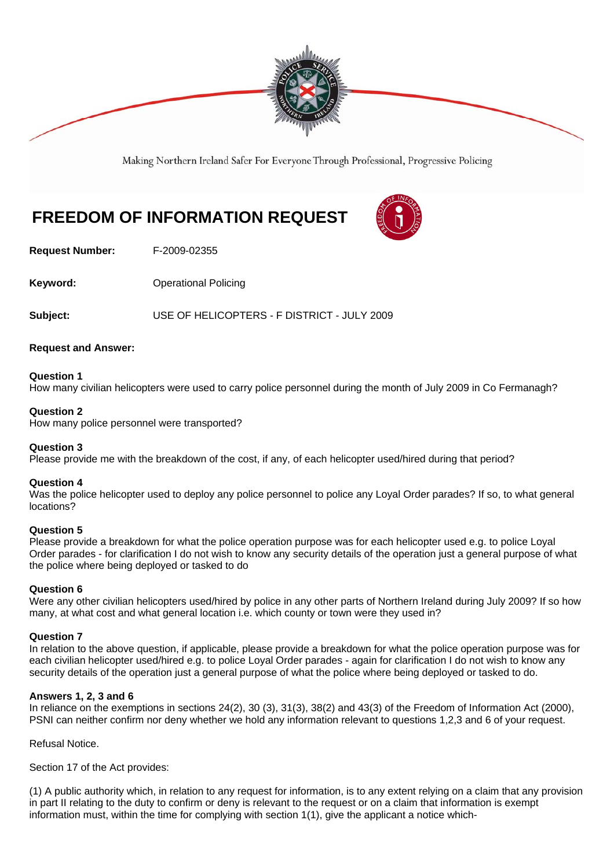

Making Northern Ireland Safer For Everyone Through Professional, Progressive Policing

# **FREEDOM OF INFORMATION REQUEST**



**Request Number:** F-2009-02355

**Keyword: Conservery Operational Policing** 

**Subject:** USE OF HELICOPTERS - F DISTRICT - JULY 2009

# **Request and Answer:**

## **Question 1**

How many civilian helicopters were used to carry police personnel during the month of July 2009 in Co Fermanagh?

## **Question 2**

How many police personnel were transported?

#### **Question 3**

Please provide me with the breakdown of the cost, if any, of each helicopter used/hired during that period?

#### **Question 4**

Was the police helicopter used to deploy any police personnel to police any Loyal Order parades? If so, to what general locations?

# **Question 5**

Please provide a breakdown for what the police operation purpose was for each helicopter used e.g. to police Loyal Order parades - for clarification I do not wish to know any security details of the operation just a general purpose of what the police where being deployed or tasked to do

# **Question 6**

Were any other civilian helicopters used/hired by police in any other parts of Northern Ireland during July 2009? If so how many, at what cost and what general location i.e. which county or town were they used in?

#### **Question 7**

In relation to the above question, if applicable, please provide a breakdown for what the police operation purpose was for each civilian helicopter used/hired e.g. to police Loyal Order parades - again for clarification I do not wish to know any security details of the operation just a general purpose of what the police where being deployed or tasked to do.

# **Answers 1, 2, 3 and 6**

In reliance on the exemptions in sections 24(2), 30 (3), 31(3), 38(2) and 43(3) of the Freedom of Information Act (2000), PSNI can neither confirm nor deny whether we hold any information relevant to questions 1,2,3 and 6 of your request.

Refusal Notice.

Section 17 of the Act provides:

(1) A public authority which, in relation to any request for information, is to any extent relying on a claim that any provision in part II relating to the duty to confirm or deny is relevant to the request or on a claim that information is exempt information must, within the time for complying with section 1(1), give the applicant a notice which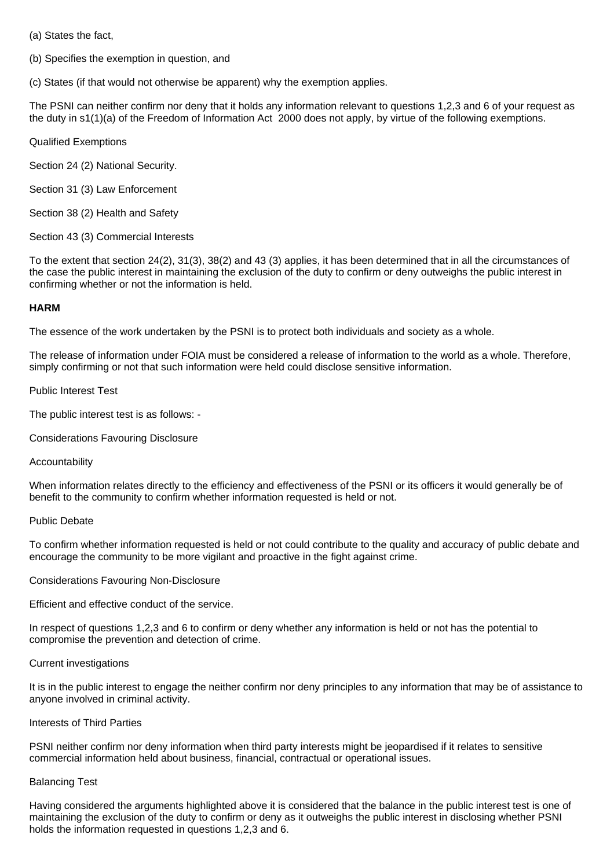(a) States the fact,

(b) Specifies the exemption in question, and

(c) States (if that would not otherwise be apparent) why the exemption applies.

The PSNI can neither confirm nor deny that it holds any information relevant to questions 1,2,3 and 6 of your request as the duty in s1(1)(a) of the Freedom of Information Act 2000 does not apply, by virtue of the following exemptions.

Qualified Exemptions

Section 24 (2) National Security.

Section 31 (3) Law Enforcement

Section 38 (2) Health and Safety

Section 43 (3) Commercial Interests

To the extent that section 24(2), 31(3), 38(2) and 43 (3) applies, it has been determined that in all the circumstances of the case the public interest in maintaining the exclusion of the duty to confirm or deny outweighs the public interest in confirming whether or not the information is held.

# **HARM**

The essence of the work undertaken by the PSNI is to protect both individuals and society as a whole.

The release of information under FOIA must be considered a release of information to the world as a whole. Therefore, simply confirming or not that such information were held could disclose sensitive information.

## Public Interest Test

The public interest test is as follows: -

Considerations Favouring Disclosure

#### Accountability

When information relates directly to the efficiency and effectiveness of the PSNI or its officers it would generally be of benefit to the community to confirm whether information requested is held or not.

#### Public Debate

To confirm whether information requested is held or not could contribute to the quality and accuracy of public debate and encourage the community to be more vigilant and proactive in the fight against crime.

Considerations Favouring Non-Disclosure

Efficient and effective conduct of the service.

In respect of questions 1,2,3 and 6 to confirm or deny whether any information is held or not has the potential to compromise the prevention and detection of crime.

#### Current investigations

It is in the public interest to engage the neither confirm nor deny principles to any information that may be of assistance to anyone involved in criminal activity.

#### Interests of Third Parties

PSNI neither confirm nor deny information when third party interests might be jeopardised if it relates to sensitive commercial information held about business, financial, contractual or operational issues.

# Balancing Test

Having considered the arguments highlighted above it is considered that the balance in the public interest test is one of maintaining the exclusion of the duty to confirm or deny as it outweighs the public interest in disclosing whether PSNI holds the information requested in questions 1,2,3 and 6.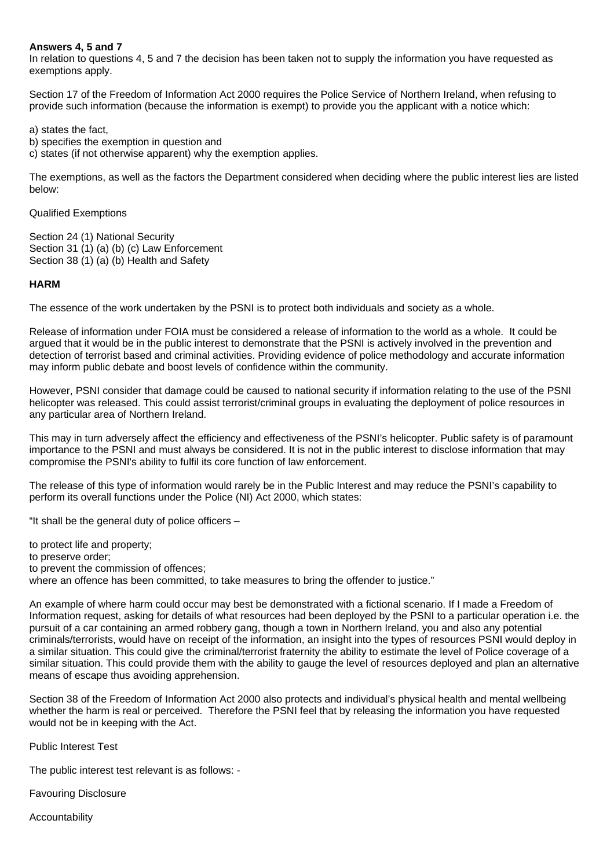## **Answers 4, 5 and 7**

In relation to questions 4, 5 and 7 the decision has been taken not to supply the information you have requested as exemptions apply.

Section 17 of the Freedom of Information Act 2000 requires the Police Service of Northern Ireland, when refusing to provide such information (because the information is exempt) to provide you the applicant with a notice which:

a) states the fact,

b) specifies the exemption in question and

c) states (if not otherwise apparent) why the exemption applies.

The exemptions, as well as the factors the Department considered when deciding where the public interest lies are listed below:

Qualified Exemptions

Section 24 (1) National Security Section 31 (1) (a) (b) (c) Law Enforcement Section 38 (1) (a) (b) Health and Safety

# **HARM**

The essence of the work undertaken by the PSNI is to protect both individuals and society as a whole.

Release of information under FOIA must be considered a release of information to the world as a whole. It could be argued that it would be in the public interest to demonstrate that the PSNI is actively involved in the prevention and detection of terrorist based and criminal activities. Providing evidence of police methodology and accurate information may inform public debate and boost levels of confidence within the community.

However, PSNI consider that damage could be caused to national security if information relating to the use of the PSNI helicopter was released. This could assist terrorist/criminal groups in evaluating the deployment of police resources in any particular area of Northern Ireland.

This may in turn adversely affect the efficiency and effectiveness of the PSNI's helicopter. Public safety is of paramount importance to the PSNI and must always be considered. It is not in the public interest to disclose information that may compromise the PSNI's ability to fulfil its core function of law enforcement.

The release of this type of information would rarely be in the Public Interest and may reduce the PSNI's capability to perform its overall functions under the Police (NI) Act 2000, which states:

"It shall be the general duty of police officers –

to protect life and property;

- to preserve order;
- to prevent the commission of offences;

where an offence has been committed, to take measures to bring the offender to justice."

An example of where harm could occur may best be demonstrated with a fictional scenario. If I made a Freedom of Information request, asking for details of what resources had been deployed by the PSNI to a particular operation i.e. the pursuit of a car containing an armed robbery gang, though a town in Northern Ireland, you and also any potential criminals/terrorists, would have on receipt of the information, an insight into the types of resources PSNI would deploy in a similar situation. This could give the criminal/terrorist fraternity the ability to estimate the level of Police coverage of a similar situation. This could provide them with the ability to gauge the level of resources deployed and plan an alternative means of escape thus avoiding apprehension.

Section 38 of the Freedom of Information Act 2000 also protects and individual's physical health and mental wellbeing whether the harm is real or perceived. Therefore the PSNI feel that by releasing the information you have requested would not be in keeping with the Act.

Public Interest Test

The public interest test relevant is as follows: -

Favouring Disclosure

Accountability